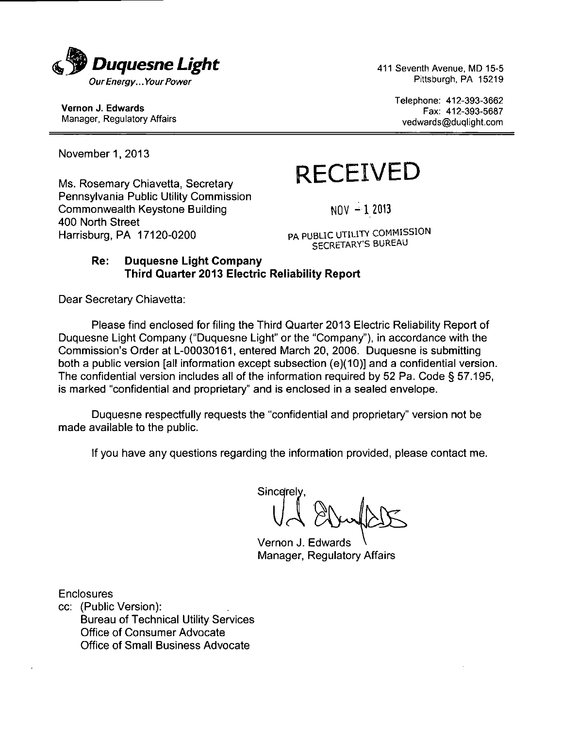

Telephone: 412-393-3662 Vernon J. Edwards<br>
Manager, Regulatory Affairs<br>
Manager, Regulatory Affairs<br>
Manager, Regulatory Affairs<br>
Manager, Regulatory Affairs vedwards@duqlight.com

November 1, 2013

Pennsylvania Public Utility Commission Commonwealth Keystone Building  $NQV - 1$  2013 400 North Street<br>Harrisburg, PA 17120-0200

# $M$ s. Rosemary Chiavetta, Secretary  $R \varepsilon \varepsilon EIVED$

PA PUBLIC UTILITY COMMISSION SECRETARY'S BUREAU

#### Re: Duquesne Light Company Third Quarter 2013 Electric Reliability Report

Dear Secretary Chiavetta:

Please find enclosed for filing the Third Quarter 2013 Electric Reliability Report of Duquesne Light Company ("Duquesne Light" or the "Company"), in accordance with the Commission's Order at L-00030161, entered March 20, 2006. Duquesne is submitting both a public version [all information except subsection (e)(10)] and a confidential version. The confidential version includes all of the information required by 52 Pa. Code § 57.195, is marked "confidential and proprietary" and is enclosed in a sealed envelope.

Duquesne respectfully requests the "confidential and proprietary" version not be made available to the public.

If you have any questions regarding the information provided, please contact me.

Sincerely **u** *A*  Vernon J. Edwards V

Manager, Regulatory Affairs

**Enclosures** 

cc: (Public Version): Bureau of Technical Utility Services Office of Consumer Advocate Office of Small Business Advocate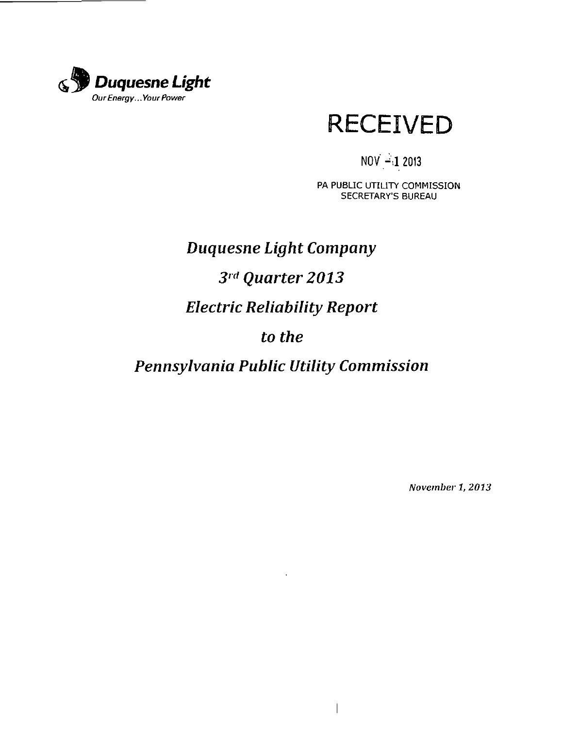



### $NOV = 12013$

PA PUBLIC UTILITY COMMISSION SECRETARY'S BUREAU

# *Duquesne Light Company 3 rd Quarter 2013 Electric Reliability Report to the*

*Pennsylvania Public Utility Commission* 

 $\ddot{\phantom{a}}$ 

 $\overline{\phantom{a}}$ 

November 1, 2013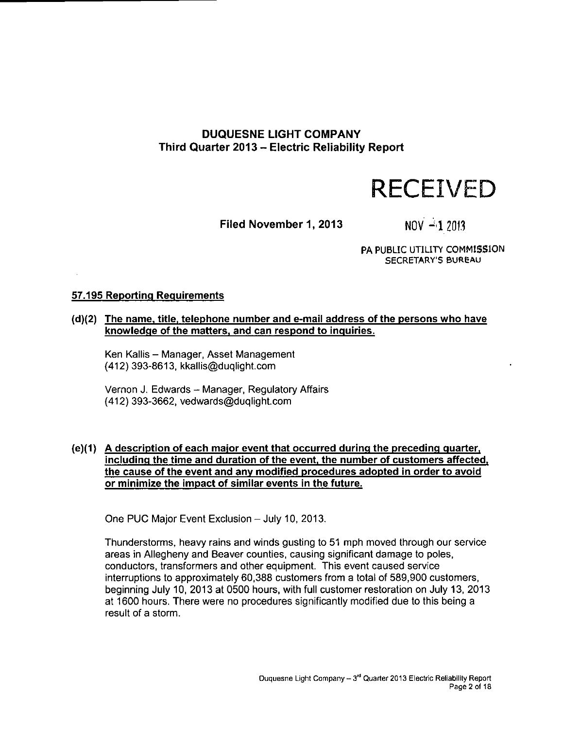#### **DUQUESNE UGHT COMPANY Third Quarter 2013 - Electric Reliability Report**

# **RECEIVED**

Filed November 1, 2013  $N0V - 12013$ 

PA PUBLIC UTILITY COMMISSION SECRETARY'S BUREAU

#### **57.195 Reporting Requirements**

#### **(d)(2) The name, title, telephone number and e-mail address of the persons who have knowledge of the matters, and can respond to inquiries.**

Ken Kallis - Manager, Asset Management (412) 393-8613, kkallis@duqlight.com

Vernon J. Edwards - Manager, Regulatory Affairs (412) 393-3662, vedwards@duqlight.com

#### **{e)(1) A description of each major event that occurred during the preceding quarter, including the time and duration of the event, the number of customers affected, the cause of the event and any modified procedures adopted in order to avoid or minimize the impact of similar events in the future.**

One PUC Major Event Exclusion - July 10, 2013.

Thunderstorms, heavy rains and winds gusting to 51 mph moved through our service areas in Allegheny and Beaver counties, causing significant damage to poles, conductors, transformers and other equipment. This event caused service interruptions to approximately 60,388 customers from a total of 589,900 customers, beginning July 10, 2013 at 0500 hours, with full customer restoration on July 13, 2013 at 1600 hours. There were no procedures significantly modified due to this being a result of a storm.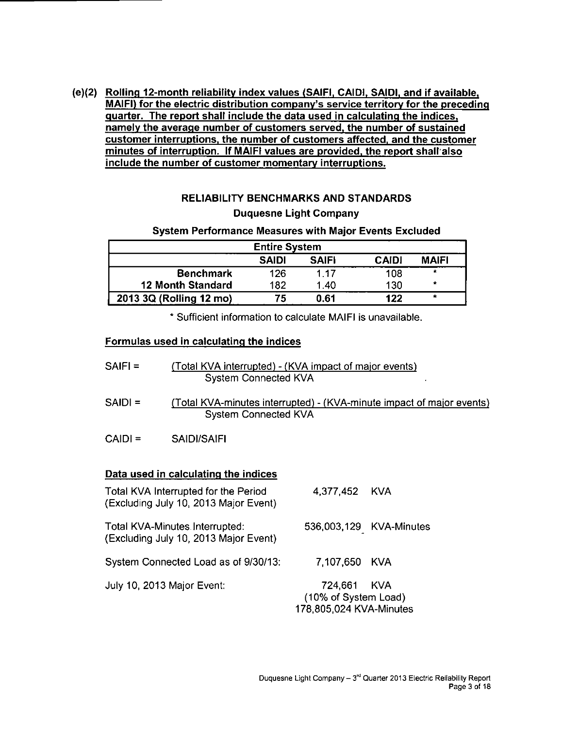**(e)(2) Rolling 12-month reliability index values (SAIFI, CAIDI. SAIDI, and if available, MAIFI) for the electric distribution company's service territory for the preceding quarter. The report shall include the data used in calculating the indices, namely the average number of customers served, the number of sustained customer interruptions, the number of customers affected, and the customer minutes of interruption. If MAIFI values are provided, the report shall also include the number of customer momentary interruptions.** 

#### **RELIABILITY BENCHMARKS AND STANDARDS Duquesne Light Company**

#### **System Performance Measures with Major Events Excluded**

| <b>Entire System</b>     |              |              |              |              |  |  |  |
|--------------------------|--------------|--------------|--------------|--------------|--|--|--|
|                          | <b>SAIDI</b> | <b>SAIFI</b> | <b>CAIDI</b> | <b>MAIFI</b> |  |  |  |
| <b>Benchmark</b>         | 126          | 1 17         | 108          | *            |  |  |  |
| <b>12 Month Standard</b> | 182          | 1.40         | 130          | *            |  |  |  |
| 2013 3Q (Rolling 12 mo)  | 75           | 0.61         | 122          | $\star$      |  |  |  |

**\* Sufficient information to calculate MAIFI is unavailable.** 

#### **Formulas used in calculating the indices**

| $SAIFI =$ | (Total KVA interrupted) - (KVA impact of major events) |
|-----------|--------------------------------------------------------|
|           | System Connected KVA                                   |

- SAIDI = (Total KVA-minutes interrupted) (KVA-minute impact of major events) System Connected KVA
- CAIDI = SAIDI/SAIFI

#### **Data used in calculating the indices**

| Total KVA Interrupted for the Period<br>(Excluding July 10, 2013 Major Event) | 4,377,452 KVA                                                  |                         |
|-------------------------------------------------------------------------------|----------------------------------------------------------------|-------------------------|
| Total KVA-Minutes Interrupted:<br>(Excluding July 10, 2013 Major Event)       |                                                                | 536,003,129 KVA-Minutes |
| System Connected Load as of 9/30/13:                                          | 7.107,650 KVA                                                  |                         |
| July 10, 2013 Major Event:                                                    | 724,661 KVA<br>(10% of System Load)<br>178,805,024 KVA-Minutes |                         |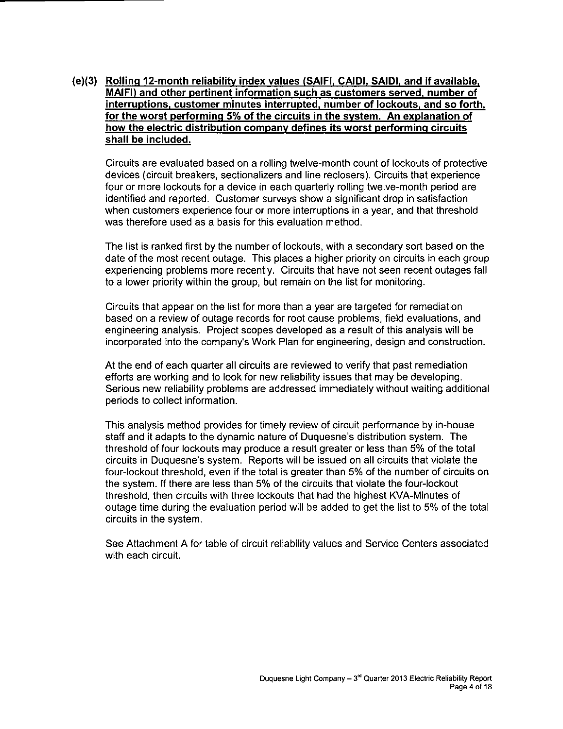#### **(e)(3) Rolling 12-month reliability index values (SAIFI. CAIDI, SAIDI. and if available, MAIFI) and other pertinent information such as customers served, number of interruptions, customer minutes interrupted, number of lockouts, and so forth, for the worst performing 5% of the circuits in the system. An explanation of how the electric distribution company defines its worst performing circuits shall be included.**

Circuits are evaluated based on a rolling twelve-month count of lockouts of protective devices (circuit breakers, sectionalizers and line reclosers). Circuits that experience four or more lockouts for a device in each quarterly rolling twelve-month period are identified and reported. Customer surveys show a significant drop in satisfaction when customers experience four or more interruptions in a year, and that threshold was therefore used as a basis for this evaluation method.

The list is ranked first by the number of lockouts, with a secondary sort based on the date of the most recent outage. This places a higher priority on circuits in each group experiencing problems more recently. Circuits that have not seen recent outages fall to a lower priority within the group, but remain on the list for monitoring.

Circuits that appear on the list for more than a year are targeted for remediation based on a review of outage records for root cause problems, field evaluations, and engineering analysis. Project scopes developed as a result of this analysis will be incorporated into the company's Work Plan for engineering, design and construction.

At the end of each quarter all circuits are reviewed to verify that past remediation efforts are working and to look for new reliability issues that may be developing. Serious new reliability problems are addressed immediately without waiting additional periods to collect information.

This analysis method provides for timely review of circuit performance by in-house staff and it adapts to the dynamic nature of Duquesne's distribution system. The threshold of four lockouts may produce a result greater or less than 5% of the total circuits in Duquesne's system. Reports will be issued on all circuits that violate the four-lockout threshold, even if the total is greater than 5% of the number of circuits on the system. If there are less than 5% of the circuits that violate the four-lockout threshold, then circuits with three lockouts that had the highest KVA-Minutes of outage time during the evaluation period will be added to get the list to 5% of the total circuits in the system.

See Attachment A for table of circuit reliability values and Service Centers associated with each circuit.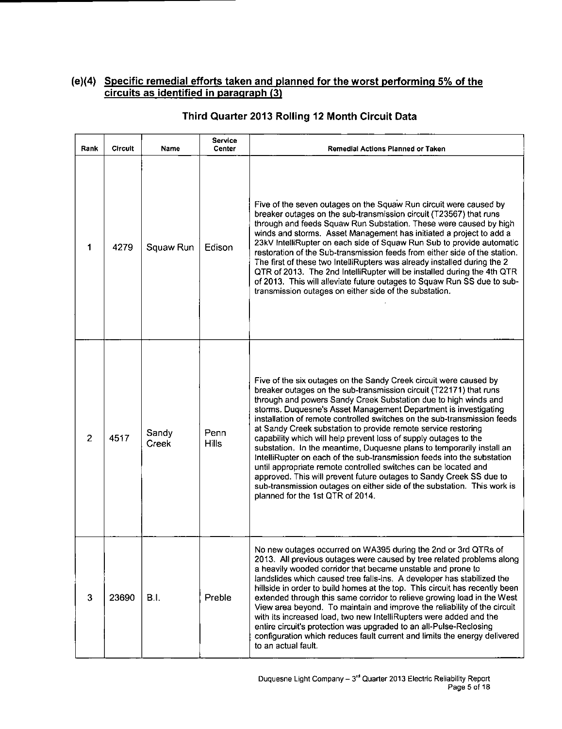#### **(e)(4) Specific remedial efforts taken and planned for the worst performing 5% of the circuits as identified in paragraph (3)**

| Rank           | Circuit | Name           | Service<br>Center    | <b>Remedial Actions Planned or Taken</b>                                                                                                                                                                                                                                                                                                                                                                                                                                                                                                                                                                                                                                                                                                                                                                                                                                                                    |
|----------------|---------|----------------|----------------------|-------------------------------------------------------------------------------------------------------------------------------------------------------------------------------------------------------------------------------------------------------------------------------------------------------------------------------------------------------------------------------------------------------------------------------------------------------------------------------------------------------------------------------------------------------------------------------------------------------------------------------------------------------------------------------------------------------------------------------------------------------------------------------------------------------------------------------------------------------------------------------------------------------------|
| 1              | 4279    | Squaw Run      | Edison               | Five of the seven outages on the Squaw Run circuit were caused by<br>breaker outages on the sub-transmission circuit (T23567) that runs<br>through and feeds Squaw Run Substation. These were caused by high<br>winds and storms. Asset Management has initiated a project to add a<br>23kV IntelliRupter on each side of Squaw Run Sub to provide automatic<br>restoration of the Sub-transmission feeds from either side of the station.<br>The first of these two IntelliRupters was already installed during the 2<br>QTR of 2013. The 2nd IntelliRupter will be installed during the 4th QTR<br>of 2013. This will alleviate future outages to Squaw Run SS due to sub-<br>transmission outages on either side of the substation.                                                                                                                                                                      |
| $\overline{c}$ | 4517    | Sandy<br>Creek | Penn<br><b>Hills</b> | Five of the six outages on the Sandy Creek circuit were caused by<br>breaker outages on the sub-transmission circuit (T22171) that runs<br>through and powers Sandy Creek Substation due to high winds and<br>storms. Duquesne's Asset Management Department is investigating<br>installation of remote controlled switches on the sub-transmission feeds<br>at Sandy Creek substation to provide remote service restoring<br>capability which will help prevent loss of supply outages to the<br>substation. In the meantime, Duquesne plans to temporarily install an<br>IntelliRupter on each of the sub-transmission feeds into the substation<br>until appropriate remote controlled switches can be located and<br>approved. This will prevent future outages to Sandy Creek SS due to<br>sub-transmission outages on either side of the substation. This work is<br>planned for the 1st QTR of 2014. |
| 3              | 23690   | B.I.           | Preble               | No new outages occurred on WA395 during the 2nd or 3rd QTRs of<br>2013. All previous outages were caused by tree related problems along<br>a heavily wooded corridor that became unstable and prone to<br>landslides which caused tree falls-ins. A developer has stabilized the<br>hillside in order to build homes at the top. This circuit has recently been<br>extended through this same corridor to relieve growing load in the West<br>View area beyond. To maintain and improve the reliability of the circuit<br>with its increased load, two new IntelliRupters were added and the<br>entire circuit's protection was upgraded to an all-Pulse-Reclosing<br>configuration which reduces fault current and limits the energy delivered<br>to an actual fault.                                                                                                                                      |

#### **Third Quarter 2013 Rolling 12 Month Circuit Data**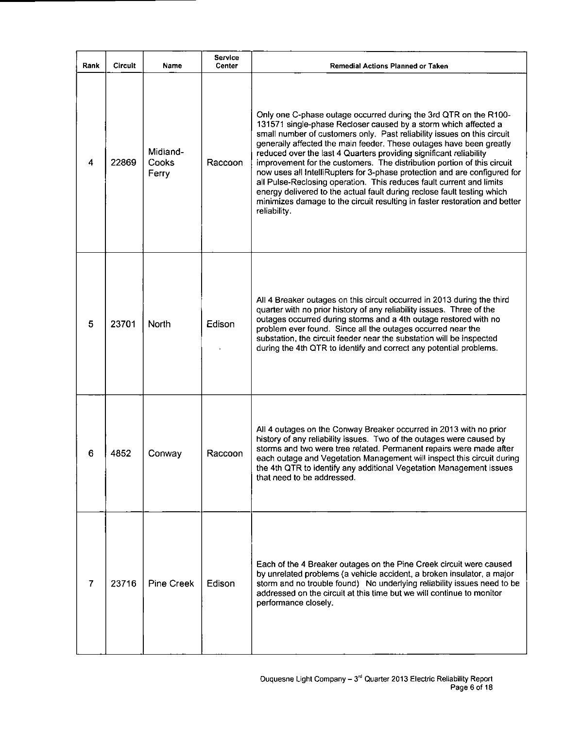| Rank           | <b>Circuit</b> | Name                       | Service<br>Center | Remedial Actions Planned or Taken                                                                                                                                                                                                                                                                                                                                                                                                                                                                                                                                                                                                                                                                                                                                    |
|----------------|----------------|----------------------------|-------------------|----------------------------------------------------------------------------------------------------------------------------------------------------------------------------------------------------------------------------------------------------------------------------------------------------------------------------------------------------------------------------------------------------------------------------------------------------------------------------------------------------------------------------------------------------------------------------------------------------------------------------------------------------------------------------------------------------------------------------------------------------------------------|
| 4              | 22869          | Midland-<br>Cooks<br>Ferry | Raccoon           | Only one C-phase outage occurred during the 3rd QTR on the R100-<br>131571 single-phase Recloser caused by a storm which affected a<br>small number of customers only. Past reliability issues on this circuit<br>generally affected the main feeder. These outages have been greatly<br>reduced over the last 4 Quarters providing significant reliability<br>improvement for the customers. The distribution portion of this circuit<br>now uses all IntelliRupters for 3-phase protection and are configured for<br>all Pulse-Reclosing operation. This reduces fault current and limits<br>energy delivered to the actual fault during reclose fault testing which<br>minimizes damage to the circuit resulting in faster restoration and better<br>reliability. |
| 5              | 23701          | North                      | Edison            | All 4 Breaker outages on this circuit occurred in 2013 during the third<br>quarter with no prior history of any reliability issues. Three of the<br>outages occurred during storms and a 4th outage restored with no<br>problem ever found. Since all the outages occurred near the<br>substation, the circuit feeder near the substation will be inspected<br>during the 4th QTR to identify and correct any potential problems.                                                                                                                                                                                                                                                                                                                                    |
| 6              | 4852           | Conway                     | Raccoon           | All 4 outages on the Conway Breaker occurred in 2013 with no prior<br>history of any reliability issues. Two of the outages were caused by<br>storms and two were tree related. Permanent repairs were made after<br>each outage and Vegetation Management will inspect this circuit during<br>the 4th QTR to identify any additional Vegetation Management issues<br>that need to be addressed.                                                                                                                                                                                                                                                                                                                                                                     |
| $\overline{7}$ | 23716          | <b>Pine Creek</b>          | Edison            | Each of the 4 Breaker outages on the Pine Creek circuit were caused<br>by unrelated problems (a vehicle accident, a broken insulator, a major<br>storm and no trouble found) No underlying reliability issues need to be<br>addressed on the circuit at this time but we will continue to monitor<br>performance closely.                                                                                                                                                                                                                                                                                                                                                                                                                                            |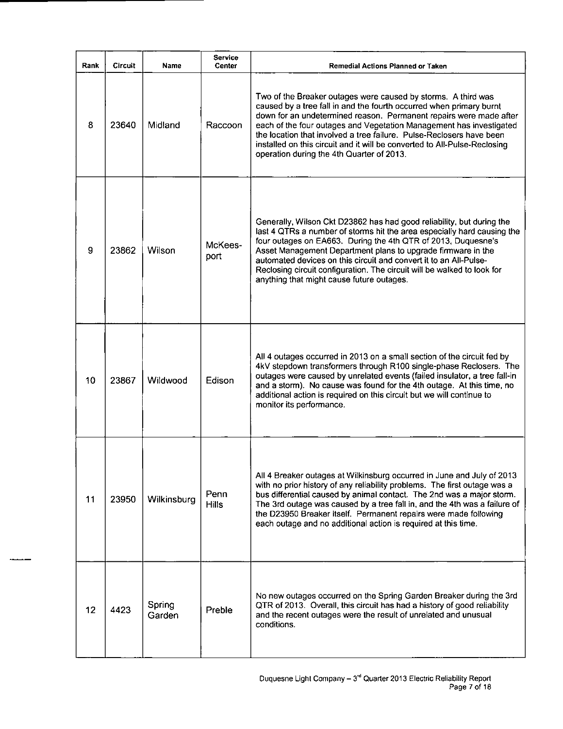| Rank | <b>Circuit</b> | <b>Name</b>      | <b>Service</b><br><b>Center</b> | <b>Remedial Actions Planned or Taken</b>                                                                                                                                                                                                                                                                                                                                                                                                                                            |
|------|----------------|------------------|---------------------------------|-------------------------------------------------------------------------------------------------------------------------------------------------------------------------------------------------------------------------------------------------------------------------------------------------------------------------------------------------------------------------------------------------------------------------------------------------------------------------------------|
| 8    | 23640          | Midland          | Raccoon                         | Two of the Breaker outages were caused by storms. A third was<br>caused by a tree fall in and the fourth occurred when primary burnt<br>down for an undetermined reason. Permanent repairs were made after<br>each of the four outages and Vegetation Management has investigated<br>the location that involved a tree failure. Pulse-Reclosers have been<br>installed on this circuit and it will be converted to All-Pulse-Reclosing<br>operation during the 4th Quarter of 2013. |
| 9    | 23862          | Wilson           | McKees-<br>port                 | Generally, Wilson Ckt D23862 has had good reliability, but during the<br>last 4 QTRs a number of storms hit the area especially hard causing the<br>four outages on EA663. During the 4th QTR of 2013, Duquesne's<br>Asset Management Department plans to upgrade firmware in the<br>automated devices on this circuit and convert it to an All-Pulse-<br>Reclosing circuit configuration. The circuit will be walked to look for<br>anything that might cause future outages.      |
| 10   | 23867          | Wildwood         | Edison                          | All 4 outages occurred in 2013 on a small section of the circuit fed by<br>4kV stepdown transformers through R100 single-phase Reclosers. The<br>outages were caused by unrelated events (failed insulator, a tree fall-in<br>and a storm). No cause was found for the 4th outage. At this time, no<br>additional action is required on this circuit but we will continue to<br>monitor its performance.                                                                            |
| 11   | 23950          | Wilkinsburg      | Penn<br><b>Hills</b>            | All 4 Breaker outages at Wilkinsburg occurred in June and July of 2013<br>with no prior history of any reliability problems. The first outage was a<br>bus differential caused by animal contact. The 2nd was a major storm.<br>The 3rd outage was caused by a tree fall in, and the 4th was a failure of<br>the D23950 Breaker itself. Permanent repairs were made following<br>each outage and no additional action is required at this time.                                     |
| 12   | 4423           | Spring<br>Garden | Preble                          | No new outages occurred on the Spring Garden Breaker during the 3rd<br>QTR of 2013. Overall, this circuit has had a history of good reliability<br>and the recent outages were the result of unrelated and unusual<br>conditions.                                                                                                                                                                                                                                                   |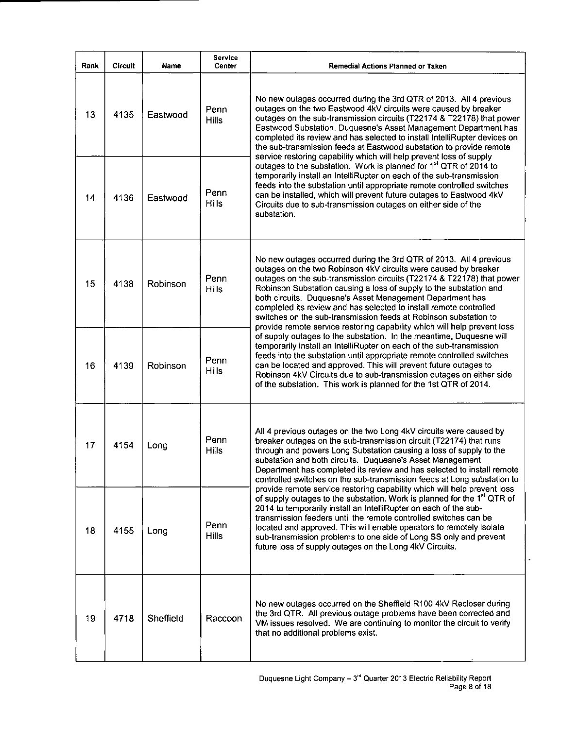| Rank | <b>Circuit</b> | Name      | Service<br>Center    | Remedial Actions Planned or Taken                                                                                                                                                                                                                                                                                                                                                                                                                                                                                                                                       |  |  |  |  |  |  |
|------|----------------|-----------|----------------------|-------------------------------------------------------------------------------------------------------------------------------------------------------------------------------------------------------------------------------------------------------------------------------------------------------------------------------------------------------------------------------------------------------------------------------------------------------------------------------------------------------------------------------------------------------------------------|--|--|--|--|--|--|
| 13   | 4135           | Eastwood  | Penn<br><b>Hills</b> | No new outages occurred during the 3rd QTR of 2013. All 4 previous<br>outages on the two Eastwood 4kV circuits were caused by breaker<br>outages on the sub-transmission circuits (T22174 & T22178) that power<br>Eastwood Substation. Duquesne's Asset Management Department has<br>completed its review and has selected to install IntelliRupter devices on<br>the sub-transmission feeds at Eastwood substation to provide remote                                                                                                                                   |  |  |  |  |  |  |
| 14   | 4136           | Eastwood  | Penn<br><b>Hills</b> | service restoring capability which will help prevent loss of supply<br>outages to the substation. Work is planned for 1 <sup>st</sup> QTR of 2014 to<br>temporarily install an IntelliRupter on each of the sub-transmission<br>feeds into the substation until appropriate remote controlled switches<br>can be installed, which will prevent future outages to Eastwood 4kV<br>Circuits due to sub-transmission outages on either side of the<br>substation.                                                                                                          |  |  |  |  |  |  |
| 15   | 4138           | Robinson  | Penn<br><b>Hills</b> | No new outages occurred during the 3rd QTR of 2013. All 4 previous<br>outages on the two Robinson 4kV circuits were caused by breaker<br>outages on the sub-transmission circuits (T22174 & T22178) that power<br>Robinson Substation causing a loss of supply to the substation and<br>both circuits. Duquesne's Asset Management Department has<br>completed its review and has selected to install remote controlled<br>switches on the sub-transmission feeds at Robinson substation to<br>provide remote service restoring capability which will help prevent loss |  |  |  |  |  |  |
| 16   | 4139           | Robinson  | Penn<br>Hills        | of supply outages to the substation. In the meantime, Duquesne will<br>temporarily install an IntelliRupter on each of the sub-transmission<br>feeds into the substation until appropriate remote controlled switches<br>can be located and approved. This will prevent future outages to<br>Robinson 4kV Circuits due to sub-transmission outages on either side<br>of the substation. This work is planned for the 1st QTR of 2014.                                                                                                                                   |  |  |  |  |  |  |
| 17   | 4154           | Long      | Penn<br><b>Hills</b> | All 4 previous outages on the two Long 4kV circuits were caused by<br>breaker outages on the sub-transmission circuit (T22174) that runs<br>through and powers Long Substation causing a loss of supply to the<br>substation and both circuits. Duquesne's Asset Management<br>Department has completed its review and has selected to install remote<br>controlled switches on the sub-transmission feeds at Long substation to<br>provide remote service restoring capability which will help prevent loss                                                            |  |  |  |  |  |  |
| 18   | 4155           | Long      | Penn<br><b>Hills</b> | of supply outages to the substation. Work is planned for the 1 <sup>st</sup> QTR of<br>2014 to temporarily install an IntelliRupter on each of the sub-<br>transmission feeders until the remote controlled switches can be<br>located and approved. This will enable operators to remotely isolate<br>sub-transmission problems to one side of Long SS only and prevent<br>future loss of supply outages on the Long 4kV Circuits.                                                                                                                                     |  |  |  |  |  |  |
| 19   | 4718           | Sheffield | Raccoon              | No new outages occurred on the Sheffield R100 4kV Recloser during<br>the 3rd QTR. All previous outage problems have been corrected and<br>VM issues resolved. We are continuing to monitor the circuit to verify<br>that no additional problems exist.                                                                                                                                                                                                                                                                                                                  |  |  |  |  |  |  |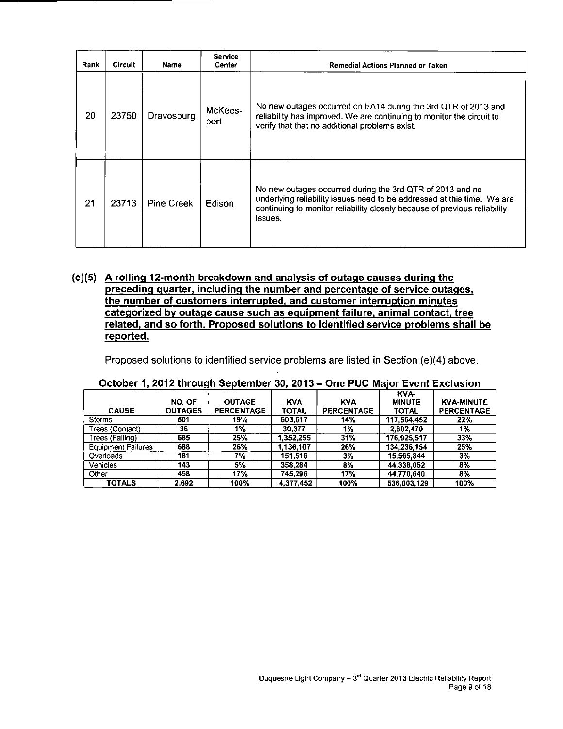| Rank | <b>Circuit</b> | Name       | <b>Service</b><br>Center | Remedial Actions Planned or Taken                                                                                                                                                                                            |
|------|----------------|------------|--------------------------|------------------------------------------------------------------------------------------------------------------------------------------------------------------------------------------------------------------------------|
| 20   | 23750          | Dravosburg | McKees-<br>port          | No new outages occurred on EA14 during the 3rd QTR of 2013 and<br>reliability has improved. We are continuing to monitor the circuit to<br>verify that that no additional problems exist.                                    |
| 21   | 23713          | Pine Creek | Edison                   | No new outages occurred during the 3rd QTR of 2013 and no<br>underlying reliability issues need to be addressed at this time. We are<br>continuing to monitor reliability closely because of previous reliability<br>issues. |

#### **(e)(5) A rolling 12-month breakdown and analysis of outage causes during the preceding quarter, including the number and percentage of service outages, the number of customers interrupted, and customer interruption minutes categorized bv outage cause such as equipment failure, animal contact, tree related, and so forth. Proposed solutions to identified service problems shall be reported.**

Proposed solutions to identified service problems are listed in Section (e)(4) above.

|                           |                |                   |              |                   | KVA-          |                   |
|---------------------------|----------------|-------------------|--------------|-------------------|---------------|-------------------|
|                           | NO. OF         | <b>OUTAGE</b>     | <b>KVA</b>   | <b>KVA</b>        | <b>MINUTE</b> | <b>KVA-MINUTE</b> |
| <b>CAUSE</b>              | <b>OUTAGES</b> | <b>PERCENTAGE</b> | <b>TOTAL</b> | <b>PERCENTAGE</b> | TOTAL         | PERCENTAGE        |
| <b>Storms</b>             | 501            | 19%               | 603,617      | 14%               | 117,564,452   | 22%               |
| Trees (Contact)           | 36             | 1%                | 30.377       | 1%                | 2.602.470     | 1%                |
| Trees (Falling)           | 685            | 25%               | 1,352,255    | 31%               | 176,925,517   | 33%               |
| <b>Equipment Failures</b> | 688            | <b>26%</b>        | .136.107     | 26%               | 134,236,154   | 25%               |
| Overloads                 | 181            | 7%                | 151.516      | 3%                | 15.565.844    | $3\%$             |
| Vehicles                  | 143            | 5%                | 358.284      | 8%                | 44,338,052    | 8%                |
| Other                     | 458            | 17%               | 745.296      | 17%               | 44.770.640    | 8%                |
| <b>TOTALS</b>             | 2,692          | 100%              | 4.377,452    | 100%              | 536.003.129   | 100%              |

#### October 1, 2012 through September 30, 2013 - One PUC Major Event Exclusion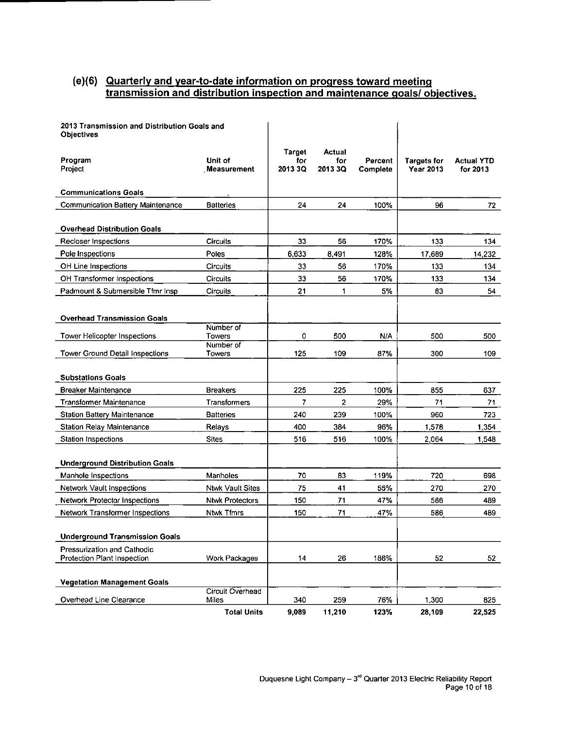#### **(e)(6) Quarterly and vear-to-date information on progress toward meeting transmission and distribution inspection and maintenance goals/ objectives.**

| 2013 Transmission and Distribution Goals and<br><b>Objectives</b> |                           |                          |                          |                     |                                        |                               |
|-------------------------------------------------------------------|---------------------------|--------------------------|--------------------------|---------------------|----------------------------------------|-------------------------------|
| Program<br>Project                                                | Unit of<br>Measurement    | Target<br>for<br>2013 3Q | Actual<br>for<br>2013 3Q | Percent<br>Complete | <b>Targets for</b><br><b>Year 2013</b> | <b>Actual YTD</b><br>for 2013 |
| <b>Communications Goals</b>                                       |                           |                          |                          |                     |                                        |                               |
| <b>Communication Battery Maintenance</b>                          | <b>Batteries</b>          | 24                       | 24                       | 100%                | 96                                     | 72                            |
| <b>Overhead Distribution Goals</b>                                |                           |                          |                          |                     |                                        |                               |
| Recloser Inspections                                              | Circuits                  | 33                       | 56                       | 170%                | 133                                    | 134                           |
| Pole Inspections                                                  | Poles                     | 6,633                    | 8,491                    | 128%                | 17,689                                 | 14,232                        |
| OH Line Inspections                                               | Circuits                  | 33                       | 56                       | 170%                | 133                                    | 134                           |
| OH Transformer Inspections                                        | Circuits                  | 33                       | 56                       | 170%                | 133                                    | 134                           |
| Padmount & Submersible Tfmr Insp                                  | <b>Circuits</b>           | 21                       | 1                        | 5%                  | 83                                     | 54                            |
| <b>Overhead Transmission Goals</b>                                | Number of                 |                          |                          |                     |                                        |                               |
| Tower Helicopter Inspections                                      | Towers                    | 0                        | 500                      | N/A                 | 500                                    | 500                           |
| <b>Tower Ground Detail Inspections</b>                            | Number of<br>Towers       | 125                      | 109                      | 87%                 | 300                                    | 109                           |
| <b>Substations Goals</b>                                          |                           |                          |                          |                     |                                        |                               |
| <b>Breaker Maintenance</b>                                        | <b>Breakers</b>           | 225                      | 225                      | 100%                | 855                                    | 637                           |
| <b>Transformer Maintenance</b>                                    | Transformers              | 7                        | 2                        | 29%                 | 71                                     | 71                            |
| <b>Station Battery Maintenance</b>                                | <b>Batteries</b>          | 240                      | 239                      | 100%                | 960                                    | 723                           |
| Station Relay Maintenance                                         | Relays                    | 400                      | 384                      | 96%                 | 1,578                                  | 1,354                         |
| Station Inspections                                               | Sites                     | 516                      | 516                      | 100%                | 2.064                                  | 1,548                         |
| <b>Underground Distribution Goals</b>                             |                           |                          |                          |                     |                                        |                               |
| Manhole Inspections                                               | Manholes                  | 70                       | 83                       | 119%                | 720                                    | 698                           |
| Network Vault Inspections                                         | <b>Ntwk Vault Sites</b>   | 75                       | 41                       | 55%                 | 270                                    | 270                           |
| Network Protector Inspections                                     | <b>Ntwk Protectors</b>    | 150                      | 71                       | 47%                 | 586                                    | 489                           |
| Network Transformer Inspections                                   | <b>Ntwk Tfmrs</b>         | 150                      | 71                       | 47%                 | 586                                    | 489                           |
| <b>Underground Transmission Goals</b>                             |                           |                          |                          |                     |                                        |                               |
| Pressurization and Cathodic<br>Protection Plant Inspection        | Work Packages             | 14                       | 26                       | 186%                | 52                                     | 52                            |
| <b>Vegetation Management Goals</b>                                |                           |                          |                          |                     |                                        |                               |
| Overhead Line Clearance                                           | Circuit Overhead<br>Miles | 340                      | 259                      | 76%                 | 1,300                                  | 825                           |
|                                                                   | <b>Total Units</b>        | 9,089                    | 11,210                   | 123%                | 28,109                                 | 22,525                        |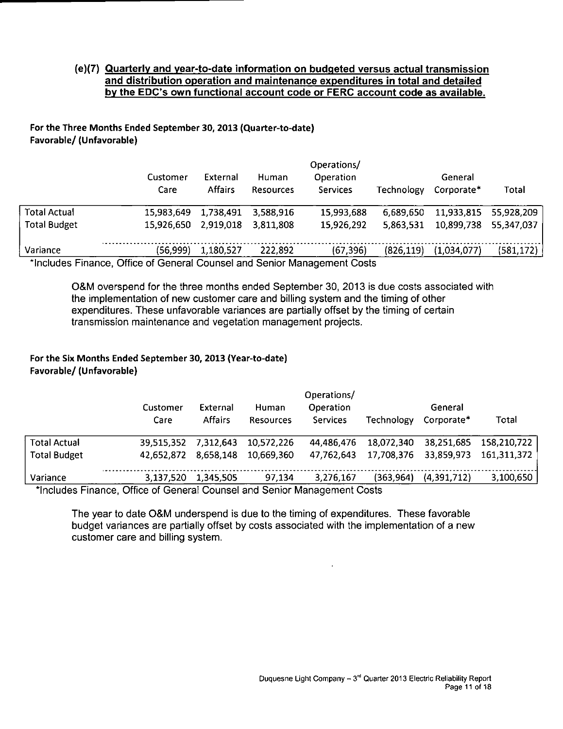#### **(e)(7) Quarterly and year-to-date information on budgeted versus actual transmission and distribution operation and maintenance expenditures in total and detailed**  by the EDC's own functional account code or FERC account code as available.

#### For the Three Months Ended September 30, 2013 (Quarter-to-date) Favorable/ (Unfavorable)

|                     | Customer<br>Care                                                         | External<br><b>Affairs</b> | Human<br>Resources | Operations/<br><b>Operation</b><br>Services | Technology | General<br>Corporate* | Total      |
|---------------------|--------------------------------------------------------------------------|----------------------------|--------------------|---------------------------------------------|------------|-----------------------|------------|
| <b>Total Actual</b> | 15.983.649                                                               | 1,738,491                  | 3.588.916          | 15,993,688                                  | 6,689,650  | 11,933,815            | 55,928,209 |
| <b>Total Budget</b> | 15.926.650                                                               | 2,919,018                  | 3.811.808          | 15,926,292                                  | 5,863,531  | 10,899,738            | 55,347,037 |
| Variance            | (56,999)                                                                 | 1,180,527                  | 222.892            | (67, 396)                                   | (826, 119) | (1,034,077)           | (581, 172) |
|                     | *Includes Einange, Office of Conoral Councel and Senier Management Coots |                            |                    |                                             |            |                       |            |

'Includes Finance, Office of General Counsel and Senior Management Costs

OScM overspend for the three months ended September 30, 2013 is due costs associated with the implementation of new customer care and billing system and the timing of other expenditures. These unfavorable variances are partially offset by the timing of certain transmission maintenance and vegetation management projects.

#### For the Six Months Ended September 30,2013 (Year-to-date) Favorable/ (Unfavorable)

|                     | Customer<br>Care | External<br><b>Affairs</b> | Human            | Operation       |            | General     |             |
|---------------------|------------------|----------------------------|------------------|-----------------|------------|-------------|-------------|
|                     |                  |                            |                  |                 |            |             |             |
|                     |                  |                            | <b>Resources</b> | <b>Services</b> | Technology | Corporate*  | Total       |
| <b>Total Actual</b> | 39,515,352       | 7.312.643                  | 10.572.226       | 44.486.476      | 18,072,340 | 38,251,685  | 158,210,722 |
| <b>Total Budget</b> | 42.652.872       | 8.658.148                  | 10.669.360       | 47,762,643      | 17,708,376 | 33,859,973  | 161,311,372 |
| Variance            | 3 137.520        | 1,345,505                  | 97.134           | 3,276,167       | (363, 964) | (4,391,712) | 3,100,650   |

Includes Finance, Office of General Counsel and Senior Management Costs

The year to date O&M underspend is due to the timing of expenditures. These favorable budget variances are partially offset by costs associated with the implementation of a new customer care and billing system.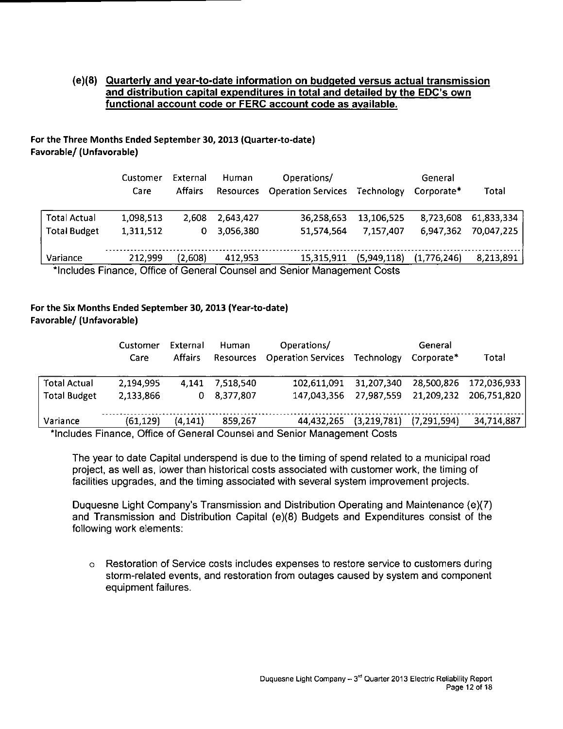#### **(e)(8) Quarterly and year-to-date information on budgeted versus actual transmission and distribution capital expenditures in total and detailed by the EDC's own functional account code or FERC account code as available.**

#### For the Three Months Ended September 30, 2013 (Quarter-to-date) Favorable/ (Unfavorable)

|                                                                          | Customer<br>Care | External<br>Human<br><b>Affairs</b><br><b>Resources</b> |           | Operations/<br><b>Operation Services</b> | Technology  | General<br>Corporate* |            |  |
|--------------------------------------------------------------------------|------------------|---------------------------------------------------------|-----------|------------------------------------------|-------------|-----------------------|------------|--|
| <b>Total Actual</b>                                                      | 1.098.513        | 2.608                                                   | 2.643.427 | 36,258,653                               | 13,106,525  | 8.723,608             | 61,833,334 |  |
| <b>Total Budget</b>                                                      | 1,311,512        | 0                                                       | 3,056,380 | 51.574.564                               | 7.157.407   | 6.947,362             | 70,047,225 |  |
|                                                                          |                  |                                                         |           |                                          |             |                       |            |  |
| Variance                                                                 | 212.999          | (2,608)                                                 | 412.953   | 15,315,911                               | (5,949,118) | (1,776,246)           | 8,213,891  |  |
| *Includes Finance, Office of General Counsel and Senior Management Costs |                  |                                                         |           |                                          |             |                       |            |  |

#### For the Six Months Ended September 30, 2013 (Year-to-date) Favorable/ (Unfavorable)

|                     | Customer<br>Care                                                                                       | External<br><b>Affairs</b> | Human<br>Resources | Operations/<br><b>Operation Services Technology</b> |                                    | General<br>Corporate* | Total                  |
|---------------------|--------------------------------------------------------------------------------------------------------|----------------------------|--------------------|-----------------------------------------------------|------------------------------------|-----------------------|------------------------|
| <b>Total Actual</b> | 2,194,995                                                                                              | 4.141                      | 7.518.540          | 102,611,091 31,207,340                              |                                    |                       | 28,500,826 172,036,933 |
| <b>Total Budget</b> | 2,133,866                                                                                              | 0                          | 8,377,807          | 147,043,356 27,987,559                              |                                    |                       | 21,209,232 206,751,820 |
| Variance            | (61, 129)<br>the children. Financial Officer of Operational Operational Operation Members of Operation | (4, 141)                   | 859.267            |                                                     | 44,432,265 (3,219,781) (7,291,594) |                       | 34,714,887             |

"Includes Finance, Office of General Counsel and Senior Management Costs

The year to date Capital underspend is due to the timing of spend related to a municipal road project, as well as, lower than historical costs associated with customer work, the timing of facilities upgrades, and the timing associated with several system improvement projects.

Duquesne Light Company's Transmission and Distribution Operating and Maintenance (e)(7) and Transmission and Distribution Capital (e)(8) Budgets and Expenditures consist of the following work elements:

o Restoration of Service costs includes expenses to restore service to customers during storm-related events, and restoration from outages caused by system and component equipment failures.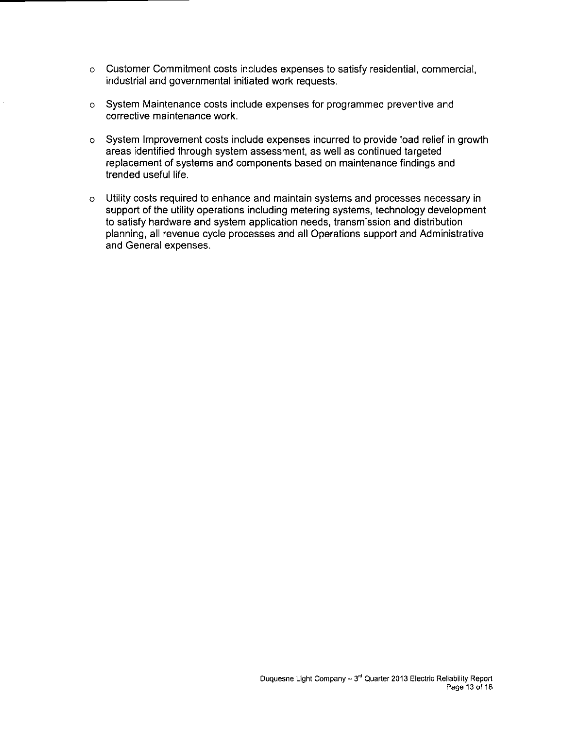- o Customer Commitment costs includes expenses to satisfy residential, commercial, industrial and governmental initiated work requests.
- o System Maintenance costs include expenses for programmed preventive and corrective maintenance work.
- o System Improvement costs include expenses incurred to provide load relief in growth areas identified through system assessment, as well as continued targeted replacement of systems and components based on maintenance findings and trended useful life.
- o Utility costs required to enhance and maintain systems and processes necessary in support of the utility operations including metering systems, technology development to satisfy hardware and system application needs, transmission and distribution planning, all revenue cycle processes and all Operations support and Administrative and General expenses.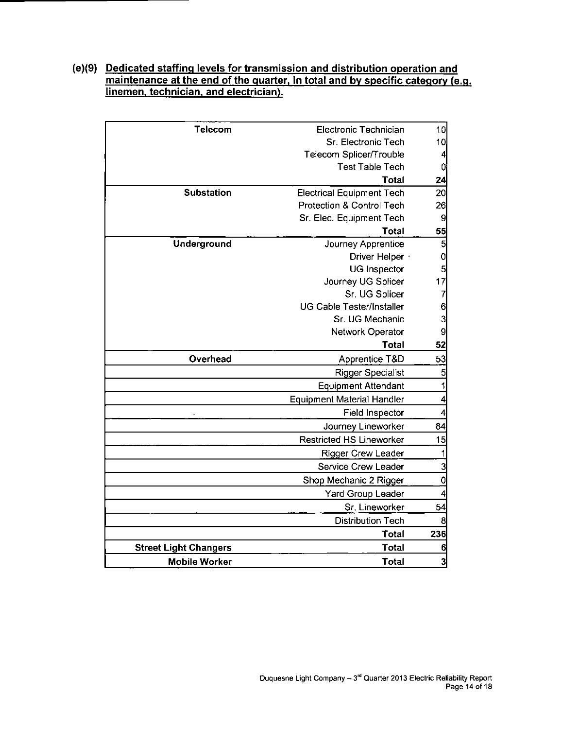#### **(e)(9) Dedicated staffing levels for transmission and distribution operation and**  maintenance at the end of the quarter, in total and by specific category (e.g. **linemen, technician, and electrician).**

| <b>Telecom</b>               | Electronic Technician             | 10                      |
|------------------------------|-----------------------------------|-------------------------|
|                              | Sr. Electronic Tech               | 10                      |
|                              | Telecom Splicer/Trouble           | $\overline{\mathbf{A}}$ |
|                              | <b>Test Table Tech</b>            | O                       |
|                              | <b>Total</b>                      | 24                      |
| <b>Substation</b>            | <b>Electrical Equipment Tech</b>  | 20                      |
|                              | Protection & Control Tech         | 26                      |
|                              | Sr. Elec. Equipment Tech          | $\mathbf{Q}$            |
|                              | <b>Total</b>                      | $\frac{55}{5}$          |
| Underground                  | Journey Apprentice                | $\overline{\mathbf{5}}$ |
|                              | Driver Helper ·                   | $\mathbf{0}$            |
|                              | <b>UG Inspector</b>               | 5                       |
|                              | Journey UG Splicer                | 17                      |
|                              | Sr. UG Splicer                    | $\overline{7}$          |
|                              | <b>UG Cable Tester/Installer</b>  | 6                       |
|                              | Sr. UG Mechanic                   | 3                       |
|                              | Network Operator                  | 9                       |
|                              | <b>Total</b>                      | 52                      |
| Overhead                     | Apprentice T&D                    | 53                      |
|                              | <b>Rigger Specialist</b>          | 5                       |
|                              | <b>Equipment Attendant</b>        | 1                       |
|                              | <b>Equipment Material Handler</b> | $\overline{4}$          |
|                              | Field Inspector                   | 4                       |
|                              | Journey Lineworker                | 84                      |
|                              | <b>Restricted HS Lineworker</b>   | 15                      |
|                              | <b>Rigger Crew Leader</b>         | 1                       |
|                              | <b>Service Crew Leader</b>        | $\overline{3}$          |
|                              | Shop Mechanic 2 Rigger            | $\mathbf{0}$            |
|                              | <b>Yard Group Leader</b>          | 4                       |
|                              | Sr. Lineworker                    | 54                      |
|                              | <b>Distribution Tech</b>          | 8                       |
|                              | <b>Total</b>                      | 236                     |
| <b>Street Light Changers</b> | <b>Total</b>                      | 6                       |
| <b>Mobile Worker</b>         | <b>Total</b>                      | 3                       |
|                              |                                   |                         |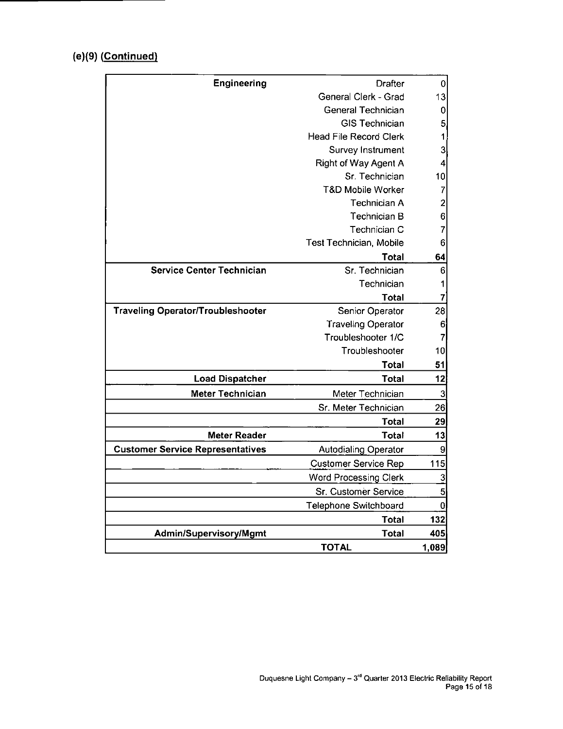#### **(e)(9) (Continued)**

| <b>Engineering</b>                       | <b>Drafter</b>               | 0                       |
|------------------------------------------|------------------------------|-------------------------|
|                                          | General Clerk - Grad         | 13                      |
|                                          | General Technician           | 0                       |
|                                          | <b>GIS Technician</b>        | 5                       |
|                                          | Head File Record Clerk       | 1                       |
|                                          | Survey Instrument            | 3                       |
|                                          | Right of Way Agent A         | 4                       |
|                                          | Sr. Technician               | 10                      |
|                                          | <b>T&amp;D Mobile Worker</b> | 7                       |
|                                          | <b>Technician A</b>          | $\overline{\mathbf{c}}$ |
|                                          | Technician B                 | 6                       |
|                                          | Technician C                 | 7                       |
|                                          | Test Technician, Mobile      | 6                       |
|                                          | Total                        | 64                      |
| <b>Service Center Technician</b>         | Sr. Technician               | 6                       |
|                                          | Technician                   | 1                       |
|                                          | Total                        | 7                       |
| <b>Traveling Operator/Troubleshooter</b> | Senior Operator              | 28                      |
|                                          | <b>Traveling Operator</b>    | 6                       |
|                                          | Troubleshooter 1/C           | 7                       |
|                                          | Troubleshooter               | 10                      |
|                                          | <b>Total</b>                 | 51                      |
| <b>Load Dispatcher</b>                   | Total                        | 12                      |
| <b>Meter Technician</b>                  | Meter Technician             | 3                       |
|                                          | Sr. Meter Technician         | 26                      |
|                                          | <b>Total</b>                 | 29                      |
| <b>Meter Reader</b>                      | <b>Total</b>                 | 13                      |
| <b>Customer Service Representatives</b>  | <b>Autodialing Operator</b>  | 9                       |
|                                          | <b>Customer Service Rep</b>  | 115                     |
|                                          | <b>Word Processing Clerk</b> | $\overline{3}$          |
|                                          | Sr. Customer Service         | 5                       |
|                                          | Telephone Switchboard        | $\bf{0}$                |
|                                          | <b>Total</b>                 | 132                     |
| Admin/Supervisory/Mgmt                   | <b>Total</b>                 | 405                     |
|                                          | <b>TOTAL</b>                 | 1,089                   |
|                                          |                              |                         |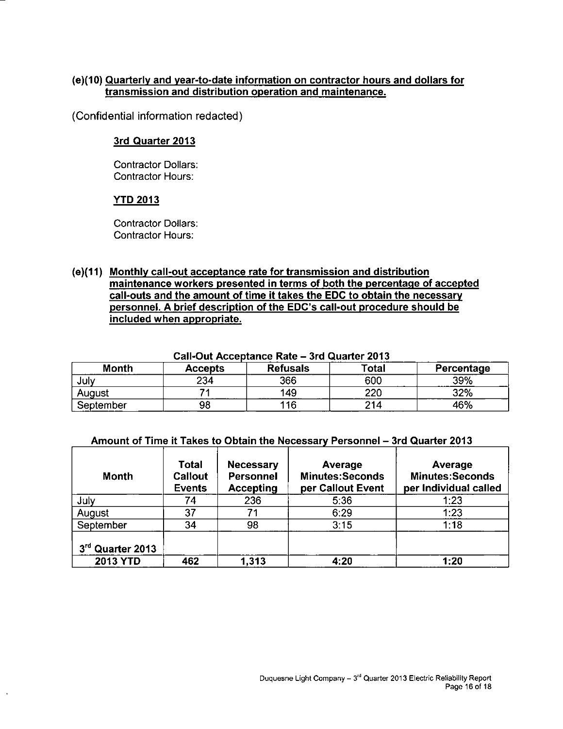#### **(e)(10) Quarterly and year-to-date information on contractor hours and dollars for transmission and distribution operation and maintenance.**

(Confidential information redacted)

#### **3rd Quarter 2013**

Contractor Dollars: Contractor Hours:

#### **YTD 2013**

Contractor Dollars: Contractor Hours:

**(e)(11) Monthly call-out acceptance rate for transmission and distribution maintenance workers presented in terms of both the percentage of accepted call-outs and the amount of time it takes the EDC to obtain the necessary personnel. A brief description of the EDC's call-out procedure should be included when appropriate.** 

| Call-Out Acceptance Rate – 3rd Quarter 2013 |                |                 |       |            |  |  |  |  |  |
|---------------------------------------------|----------------|-----------------|-------|------------|--|--|--|--|--|
| <b>Month</b>                                | <b>Accepts</b> | <b>Refusals</b> | Total | Percentage |  |  |  |  |  |
| July                                        | 234            | 366             | 600   | 39%        |  |  |  |  |  |
| August                                      |                | 149             | 220   | 32%        |  |  |  |  |  |
| September                                   | 98             | 116             | 214   | 46%        |  |  |  |  |  |

#### **Call-Out Acceptance Rate - 3rd ( Quarter 2013**

#### **Amount of Time it Takes to Obtain the Necessary Personnel - 3 rd Quarter 2013**

| <b>Month</b>     | <b>Total</b><br>Callout<br><b>Events</b> | <b>Necessary</b><br><b>Personnel</b><br><b>Accepting</b> | Average<br><b>Minutes:Seconds</b><br>per Callout Event | Average<br><b>Minutes:Seconds</b><br>per Individual called |
|------------------|------------------------------------------|----------------------------------------------------------|--------------------------------------------------------|------------------------------------------------------------|
| July             | 74                                       | 236                                                      | 5:36                                                   | 1:23                                                       |
| August           | 37                                       |                                                          | 6:29                                                   | 1:23                                                       |
| September        | 34                                       | 98                                                       | 3:15                                                   | 1:18                                                       |
| 3rd Quarter 2013 |                                          |                                                          |                                                        |                                                            |
| 2013 YTD         | 462                                      | 1,313                                                    | 4:20                                                   | 1:20                                                       |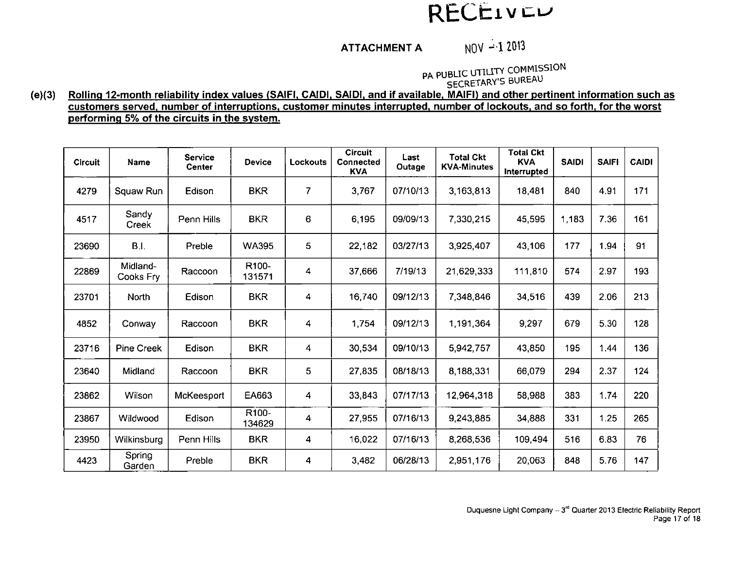## RECEIVEU

## ATTACHMENT A  $N0V - 12013$

PA PUBLIC UTILITY COMMISSION SECRETARY'S BUREAU

**(e)(3) Rolling 12-month reliability index values (SAIFI, CAIDI. SAIDI, and if available, MAIFI) and other pertinent information such as customers served, number of interruptions, customer minutes interrupted, number of lockouts, and so forth, for the worst performing 5% of the circuits in the system.** 

| <b>Circuit</b> | <b>Name</b>           | Service<br>Center | <b>Device</b>                | Lockouts       | <b>Circuit</b><br>Connected<br><b>KVA</b> | Last<br>Outage | <b>Total Ckt</b><br><b>KVA-Minutes</b> | <b>Total Ckt</b><br><b>KVA</b><br><b>Interrupted</b> | <b>SAIDI</b> | <b>SAIFI</b> | <b>CAIDI</b> |
|----------------|-----------------------|-------------------|------------------------------|----------------|-------------------------------------------|----------------|----------------------------------------|------------------------------------------------------|--------------|--------------|--------------|
| 4279           | Squaw Run             | Edison            | <b>BKR</b>                   | $\overline{7}$ | 3,767                                     | 07/10/13       | 3,163,813                              | 18.481                                               | 840          | 4.91         | 171          |
| 4517           | Sandy<br>Creek        | Penn Hills        | <b>BKR</b>                   | 6              | 6,195                                     | 09/09/13       | 7,330,215                              | 45,595                                               | 1,183        | 7.36         | 161          |
| 23690          | <b>B.I.</b>           | Preble            | <b>WA395</b>                 | 5              | 22,182                                    | 03/27/13       | 3,925,407                              | 43.106                                               | 177          | 1.94         | 91           |
| 22869          | Midland-<br>Cooks Fry | Raccoon           | R100-<br>131571              | 4              | 37,666                                    | 7/19/13        | 21,629,333                             | 111,810                                              | 574          | 2.97         | 193          |
| 23701          | North                 | Edison            | <b>BKR</b>                   | 4              | 16,740                                    | 09/12/13       | 7,348,846                              | 34 516                                               | 439          | 2.06         | 213          |
| 4852           | Conway                | Raccoon           | <b>BKR</b>                   | 4              | 1,754                                     | 09/12/13       | 1,191,364                              | 9,297                                                | 679          | 5.30         | 128          |
| 23716          | <b>Pine Creek</b>     | Edison            | <b>BKR</b>                   | 4              | 30,534                                    | 09/10/13       | 5,942,757                              | 43,850                                               | 195          | 1.44         | 136          |
| 23640          | Midland               | Raccoon           | <b>BKR</b>                   | 5              | 27,835                                    | 08/18/13       | 8,188,331                              | 66,079                                               | 294          | 2.37         | 124          |
| 23862          | Wilson                | McKeesport        | EA663                        | 4              | 33.843                                    | 07/17/13       | 12,964,318                             | 58,988                                               | 383          | 1.74         | 220          |
| 23867          | Wildwood              | Edison            | R <sub>100</sub> -<br>134629 | 4              | 27,955                                    | 07/16/13       | 9,243,885                              | 34,888                                               | 331          | 1.25         | 265          |
| 23950          | Wilkinsburg           | Penn Hills        | <b>BKR</b>                   | 4              | 16.022                                    | 07/16/13       | 8,268,536                              | 109,494                                              | 516          | 6.83         | 76           |
| 4423           | Spring<br>Garden      | Preble            | <b>BKR</b>                   | 4              | 3,482                                     | 06/28/13       | 2,951,176                              | 20,063                                               | 848          | 5.76         | 147          |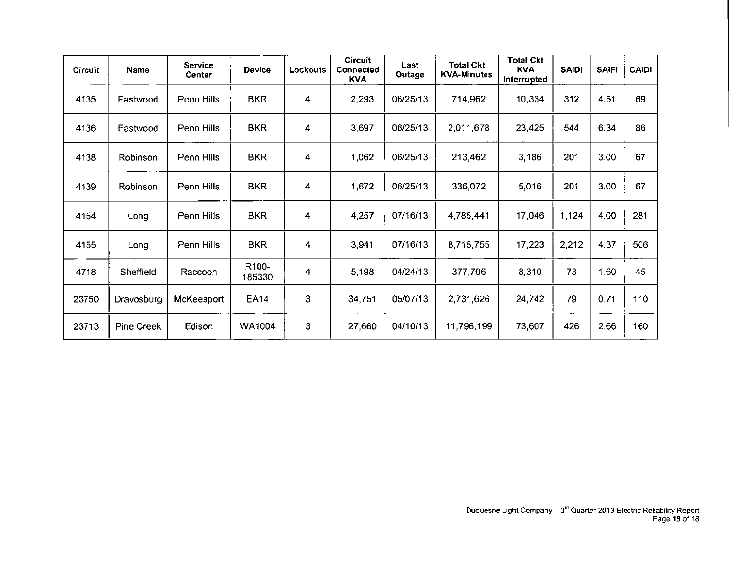| <b>Circuit</b> | Name              | Service<br><b>Center</b> | <b>Device</b>                | Lockouts | <b>Circuit</b><br><b>Connected</b><br><b>KVA</b> | Last<br>Outage | <b>Total Ckt</b><br><b>KVA-Minutes</b> | <b>Total Ckt</b><br>KVA<br>Interrupted | <b>SAIDI</b> | <b>SAIFI</b> | <b>CAIDI</b> |
|----------------|-------------------|--------------------------|------------------------------|----------|--------------------------------------------------|----------------|----------------------------------------|----------------------------------------|--------------|--------------|--------------|
| 4135           | Eastwood          | Penn Hills               | <b>BKR</b>                   | 4        | 2,293                                            | 06/25/13       | 714,962                                | 10,334                                 | 312          | 4.51         | 69           |
| 4136           | Eastwood          | Penn Hills               | <b>BKR</b>                   | 4        | 3,697                                            | 06/25/13       | 2,011,678                              | 23,425                                 | 544          | 6.34         | 86           |
| 4138           | Robinson          | Penn Hills               | <b>BKR</b>                   | 4        | 1,062                                            | 06/25/13       | 213,462                                | 3,186                                  | 201          | 3.00         | 67           |
| 4139           | Robinson          | Penn Hills               | <b>BKR</b>                   | 4        | 1,672                                            | 06/25/13       | 336,072                                | 5,016                                  | 201          | 3.00         | 67           |
| 4154           | Long              | Penn Hills               | <b>BKR</b>                   | 4        | 4,257                                            | 07/16/13       | 4,785,441                              | 17,046                                 | 1,124        | 4.00         | 281          |
| 4155           | Long              | Penn Hills               | <b>BKR</b>                   | 4        | 3,941                                            | 07/16/13       | 8,715,755                              | 17,223                                 | 2,212        | 4.37         | 506          |
| 4718           | Sheffield         | Raccoon                  | R <sub>100</sub> -<br>185330 | 4        | 5,198                                            | 04/24/13       | 377,706                                | 8,310                                  | 73           | 1.60         | 45           |
| 23750          | Dravosburg        | McKeesport               | <b>EA14</b>                  | 3        | 34,751                                           | 05/07/13       | 2,731,626                              | 24,742                                 | 79           | 0.71         | 110          |
| 23713          | <b>Pine Creek</b> | Edison                   | WA1004                       | 3        | 27,660                                           | 04/10/13       | 11,796,199                             | 73,607                                 | 426          | 2.66         | 160          |